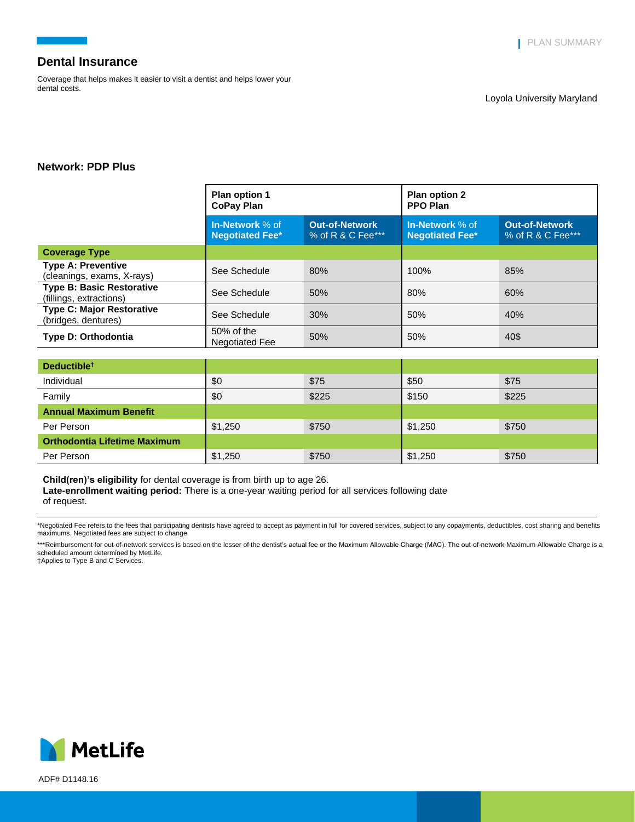Coverage that helps makes it easier to visit a dentist and helps lower your dental costs.

## **Network: PDP Plus**

|                                                             | Plan option 1<br><b>CoPay Plan</b>        |                                            | <b>Plan option 2</b><br><b>PPO Plan</b>   |                                            |
|-------------------------------------------------------------|-------------------------------------------|--------------------------------------------|-------------------------------------------|--------------------------------------------|
|                                                             | In-Network % of<br><b>Negotiated Fee*</b> | <b>Out-of-Network</b><br>% of R & C Fee*** | In-Network % of<br><b>Negotiated Fee*</b> | <b>Out-of-Network</b><br>% of R & C Fee*** |
| <b>Coverage Type</b>                                        |                                           |                                            |                                           |                                            |
| <b>Type A: Preventive</b><br>(cleanings, exams, X-rays)     | See Schedule                              | 80%                                        | 100%                                      | 85%                                        |
| <b>Type B: Basic Restorative</b><br>(fillings, extractions) | See Schedule                              | 50%                                        | 80%                                       | 60%                                        |
| <b>Type C: Major Restorative</b><br>(bridges, dentures)     | See Schedule                              | 30%                                        | 50%                                       | 40%                                        |
| <b>Type D: Orthodontia</b>                                  | 50% of the<br><b>Negotiated Fee</b>       | 50%                                        | 50%                                       | 40\$                                       |
|                                                             |                                           |                                            |                                           |                                            |

| Deductible <sup>†</sup>             |         |       |         |       |
|-------------------------------------|---------|-------|---------|-------|
| Individual                          | \$0     | \$75  | \$50    | \$75  |
| Family                              | \$0     | \$225 | \$150   | \$225 |
| <b>Annual Maximum Benefit</b>       |         |       |         |       |
| Per Person                          | \$1,250 | \$750 | \$1,250 | \$750 |
| <b>Orthodontia Lifetime Maximum</b> |         |       |         |       |
| Per Person                          | \$1,250 | \$750 | \$1,250 | \$750 |

**Child(ren)'s eligibility** for dental coverage is from birth up to age 26.

**Late-enrollment waiting period:** There is a one-year waiting period for all services following date

\*Negotiated Fee refers to the fees that participating dentists have agreed to accept as payment in full for covered services, subject to any copayments, deductibles, cost sharing and benefits maximums. Negotiated fees are subject to change.

\*\*\*Reimbursement for out-of-network services is based on the lesser of the dentist's actual fee or the Maximum Allowable Charge (MAC). The out-of-network Maximum Allowable Charge is a scheduled amount determined by MetLife. †Applies to Type B and C Services.



ADF# D1148.16

of request.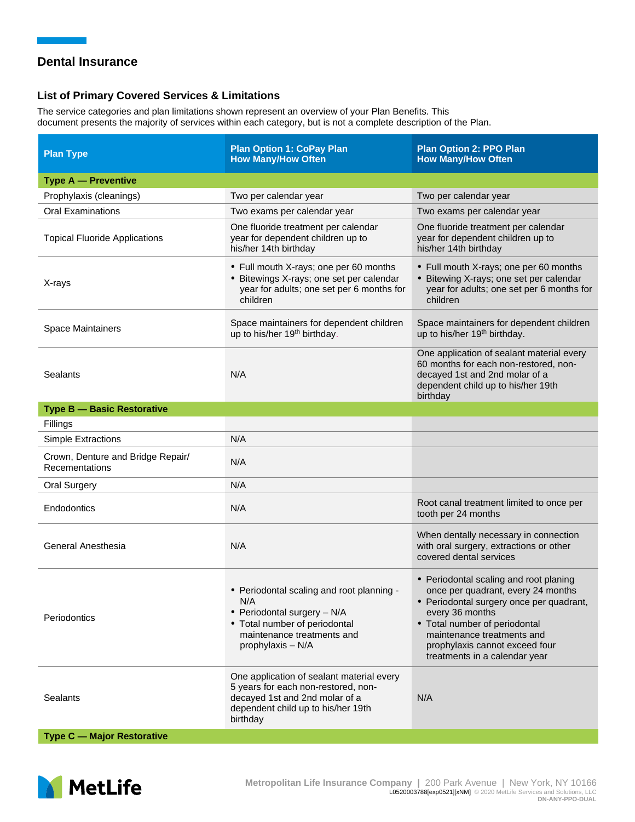## **List of Primary Covered Services & Limitations**

The service categories and plan limitations shown represent an overview of your Plan Benefits. This document presents the majority of services within each category, but is not a complete description of the Plan.

| <b>Plan Type</b>                                    | <b>Plan Option 1: CoPay Plan</b><br><b>How Many/How Often</b>                                                                                                        | <b>Plan Option 2: PPO Plan</b><br><b>How Many/How Often</b>                                                                                                                                                                                                                   |
|-----------------------------------------------------|----------------------------------------------------------------------------------------------------------------------------------------------------------------------|-------------------------------------------------------------------------------------------------------------------------------------------------------------------------------------------------------------------------------------------------------------------------------|
| <b>Type A - Preventive</b>                          |                                                                                                                                                                      |                                                                                                                                                                                                                                                                               |
| Prophylaxis (cleanings)                             | Two per calendar year                                                                                                                                                | Two per calendar year                                                                                                                                                                                                                                                         |
| <b>Oral Examinations</b>                            | Two exams per calendar year                                                                                                                                          | Two exams per calendar year                                                                                                                                                                                                                                                   |
| <b>Topical Fluoride Applications</b>                | One fluoride treatment per calendar<br>year for dependent children up to<br>his/her 14th birthday                                                                    | One fluoride treatment per calendar<br>year for dependent children up to<br>his/her 14th birthday                                                                                                                                                                             |
| X-rays                                              | • Full mouth X-rays; one per 60 months<br>• Bitewings X-rays; one set per calendar<br>year for adults; one set per 6 months for<br>children                          | • Full mouth X-rays; one per 60 months<br>• Bitewing X-rays; one set per calendar<br>year for adults; one set per 6 months for<br>children                                                                                                                                    |
| <b>Space Maintainers</b>                            | Space maintainers for dependent children<br>up to his/her 19 <sup>th</sup> birthday.                                                                                 | Space maintainers for dependent children<br>up to his/her 19 <sup>th</sup> birthday.                                                                                                                                                                                          |
| Sealants                                            | N/A                                                                                                                                                                  | One application of sealant material every<br>60 months for each non-restored, non-<br>decayed 1st and 2nd molar of a<br>dependent child up to his/her 19th<br>birthday                                                                                                        |
| <b>Type B - Basic Restorative</b>                   |                                                                                                                                                                      |                                                                                                                                                                                                                                                                               |
| Fillings                                            |                                                                                                                                                                      |                                                                                                                                                                                                                                                                               |
| <b>Simple Extractions</b>                           | N/A                                                                                                                                                                  |                                                                                                                                                                                                                                                                               |
| Crown, Denture and Bridge Repair/<br>Recementations | N/A                                                                                                                                                                  |                                                                                                                                                                                                                                                                               |
| <b>Oral Surgery</b>                                 | N/A                                                                                                                                                                  |                                                                                                                                                                                                                                                                               |
| Endodontics                                         | N/A                                                                                                                                                                  | Root canal treatment limited to once per<br>tooth per 24 months                                                                                                                                                                                                               |
| General Anesthesia                                  | N/A                                                                                                                                                                  | When dentally necessary in connection<br>with oral surgery, extractions or other<br>covered dental services                                                                                                                                                                   |
| Periodontics                                        | • Periodontal scaling and root planning -<br>• Periodontal surgery - N/A<br>• Total number of periodontal<br>maintenance treatments and<br>prophylaxis - N/A         | • Periodontal scaling and root planing<br>once per quadrant, every 24 months<br>· Periodontal surgery once per quadrant,<br>every 36 months<br>• Total number of periodontal<br>maintenance treatments and<br>prophylaxis cannot exceed four<br>treatments in a calendar year |
| Sealants                                            | One application of sealant material every<br>5 years for each non-restored, non-<br>decayed 1st and 2nd molar of a<br>dependent child up to his/her 19th<br>birthday | N/A                                                                                                                                                                                                                                                                           |
| <b>Type C - Major Restorative</b>                   |                                                                                                                                                                      |                                                                                                                                                                                                                                                                               |

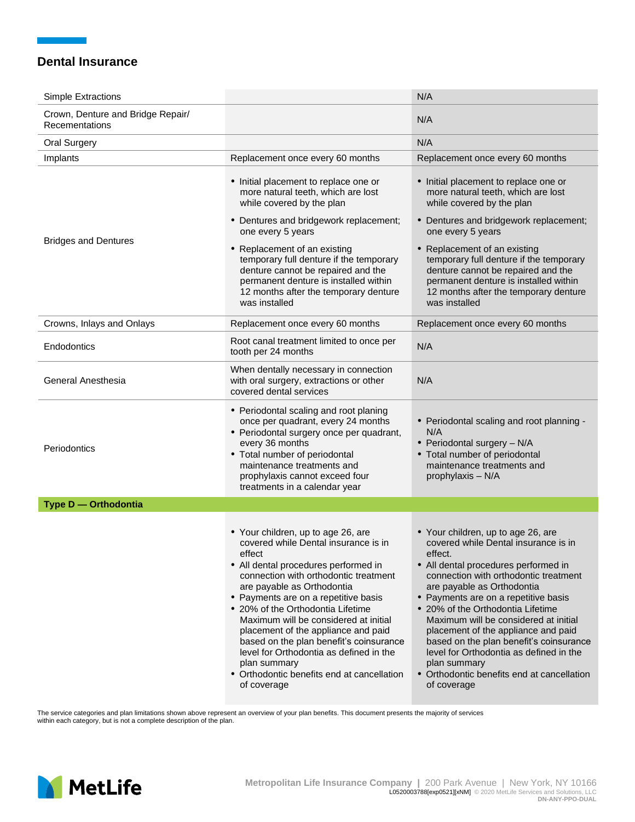| <b>Simple Extractions</b>                           |                                                                                                                                                                                                                                                                                                                                                                                                                                                                                                                                     | N/A                                                                                                                                                                                                                                                                                                                                                                                                                                                                                                                                  |
|-----------------------------------------------------|-------------------------------------------------------------------------------------------------------------------------------------------------------------------------------------------------------------------------------------------------------------------------------------------------------------------------------------------------------------------------------------------------------------------------------------------------------------------------------------------------------------------------------------|--------------------------------------------------------------------------------------------------------------------------------------------------------------------------------------------------------------------------------------------------------------------------------------------------------------------------------------------------------------------------------------------------------------------------------------------------------------------------------------------------------------------------------------|
| Crown, Denture and Bridge Repair/<br>Recementations |                                                                                                                                                                                                                                                                                                                                                                                                                                                                                                                                     | N/A                                                                                                                                                                                                                                                                                                                                                                                                                                                                                                                                  |
| <b>Oral Surgery</b>                                 |                                                                                                                                                                                                                                                                                                                                                                                                                                                                                                                                     | N/A                                                                                                                                                                                                                                                                                                                                                                                                                                                                                                                                  |
| Implants                                            | Replacement once every 60 months                                                                                                                                                                                                                                                                                                                                                                                                                                                                                                    | Replacement once every 60 months                                                                                                                                                                                                                                                                                                                                                                                                                                                                                                     |
|                                                     | • Initial placement to replace one or<br>more natural teeth, which are lost<br>while covered by the plan                                                                                                                                                                                                                                                                                                                                                                                                                            | • Initial placement to replace one or<br>more natural teeth, which are lost<br>while covered by the plan                                                                                                                                                                                                                                                                                                                                                                                                                             |
| <b>Bridges and Dentures</b>                         | • Dentures and bridgework replacement;<br>one every 5 years                                                                                                                                                                                                                                                                                                                                                                                                                                                                         | • Dentures and bridgework replacement;<br>one every 5 years                                                                                                                                                                                                                                                                                                                                                                                                                                                                          |
|                                                     | • Replacement of an existing<br>temporary full denture if the temporary<br>denture cannot be repaired and the<br>permanent denture is installed within<br>12 months after the temporary denture<br>was installed                                                                                                                                                                                                                                                                                                                    | • Replacement of an existing<br>temporary full denture if the temporary<br>denture cannot be repaired and the<br>permanent denture is installed within<br>12 months after the temporary denture<br>was installed                                                                                                                                                                                                                                                                                                                     |
| Crowns, Inlays and Onlays                           | Replacement once every 60 months                                                                                                                                                                                                                                                                                                                                                                                                                                                                                                    | Replacement once every 60 months                                                                                                                                                                                                                                                                                                                                                                                                                                                                                                     |
| Endodontics                                         | Root canal treatment limited to once per<br>tooth per 24 months                                                                                                                                                                                                                                                                                                                                                                                                                                                                     | N/A                                                                                                                                                                                                                                                                                                                                                                                                                                                                                                                                  |
| General Anesthesia                                  | When dentally necessary in connection<br>with oral surgery, extractions or other<br>covered dental services                                                                                                                                                                                                                                                                                                                                                                                                                         | N/A                                                                                                                                                                                                                                                                                                                                                                                                                                                                                                                                  |
| Periodontics                                        | • Periodontal scaling and root planing<br>once per quadrant, every 24 months<br>• Periodontal surgery once per quadrant,<br>every 36 months<br>• Total number of periodontal<br>maintenance treatments and<br>prophylaxis cannot exceed four<br>treatments in a calendar year                                                                                                                                                                                                                                                       | • Periodontal scaling and root planning -<br>N/A<br>• Periodontal surgery - N/A<br>• Total number of periodontal<br>maintenance treatments and<br>prophylaxis - N/A                                                                                                                                                                                                                                                                                                                                                                  |
| Type D - Orthodontia                                |                                                                                                                                                                                                                                                                                                                                                                                                                                                                                                                                     |                                                                                                                                                                                                                                                                                                                                                                                                                                                                                                                                      |
|                                                     | • Your children, up to age 26, are<br>covered while Dental insurance is in<br>effect<br>• All dental procedures performed in<br>connection with orthodontic treatment<br>are payable as Orthodontia<br>• Payments are on a repetitive basis<br>• 20% of the Orthodontia Lifetime<br>Maximum will be considered at initial<br>placement of the appliance and paid<br>based on the plan benefit's coinsurance<br>level for Orthodontia as defined in the<br>plan summary<br>• Orthodontic benefits end at cancellation<br>of coverage | • Your children, up to age 26, are<br>covered while Dental insurance is in<br>effect.<br>• All dental procedures performed in<br>connection with orthodontic treatment<br>are payable as Orthodontia<br>• Payments are on a repetitive basis<br>• 20% of the Orthodontia Lifetime<br>Maximum will be considered at initial<br>placement of the appliance and paid<br>based on the plan benefit's coinsurance<br>level for Orthodontia as defined in the<br>plan summary<br>• Orthodontic benefits end at cancellation<br>of coverage |

The service categories and plan limitations shown above represent an overview of your plan benefits. This document presents the majority of services within each category, but is not a complete description of the plan.

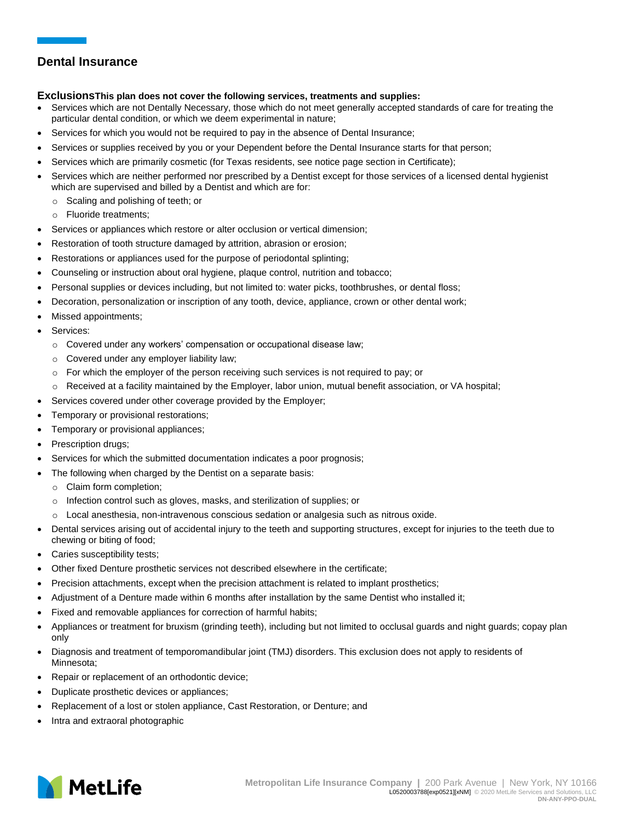### **ExclusionsThis plan does not cover the following services, treatments and supplies:**

- Services which are not Dentally Necessary, those which do not meet generally accepted standards of care for treating the particular dental condition, or which we deem experimental in nature;
- Services for which you would not be required to pay in the absence of Dental Insurance;
- Services or supplies received by you or your Dependent before the Dental Insurance starts for that person;
- Services which are primarily cosmetic (for Texas residents, see notice page section in Certificate);
- Services which are neither performed nor prescribed by a Dentist except for those services of a licensed dental hygienist which are supervised and billed by a Dentist and which are for:
	- o Scaling and polishing of teeth; or
	- o Fluoride treatments;
- Services or appliances which restore or alter occlusion or vertical dimension;
- Restoration of tooth structure damaged by attrition, abrasion or erosion;
- Restorations or appliances used for the purpose of periodontal splinting;
- Counseling or instruction about oral hygiene, plaque control, nutrition and tobacco;
- Personal supplies or devices including, but not limited to: water picks, toothbrushes, or dental floss;
- Decoration, personalization or inscription of any tooth, device, appliance, crown or other dental work;
- Missed appointments;
- Services:
	- $\circ$  Covered under any workers' compensation or occupational disease law;
	- o Covered under any employer liability law;
	- $\circ$  For which the employer of the person receiving such services is not required to pay; or
	- $\circ$  Received at a facility maintained by the Employer, labor union, mutual benefit association, or VA hospital;
- Services covered under other coverage provided by the Employer;
- Temporary or provisional restorations;
- Temporary or provisional appliances;
- Prescription drugs;
- Services for which the submitted documentation indicates a poor prognosis;
- The following when charged by the Dentist on a separate basis:
	- o Claim form completion;
	- o Infection control such as gloves, masks, and sterilization of supplies; or
	- o Local anesthesia, non-intravenous conscious sedation or analgesia such as nitrous oxide.
- Dental services arising out of accidental injury to the teeth and supporting structures, except for injuries to the teeth due to chewing or biting of food;
- Caries susceptibility tests;
- Other fixed Denture prosthetic services not described elsewhere in the certificate;
- Precision attachments, except when the precision attachment is related to implant prosthetics;
- Adjustment of a Denture made within 6 months after installation by the same Dentist who installed it;
- Fixed and removable appliances for correction of harmful habits;
- Appliances or treatment for bruxism (grinding teeth), including but not limited to occlusal guards and night guards; copay plan only
- Diagnosis and treatment of temporomandibular joint (TMJ) disorders. This exclusion does not apply to residents of Minnesota;
- Repair or replacement of an orthodontic device;
- Duplicate prosthetic devices or appliances;
- Replacement of a lost or stolen appliance, Cast Restoration, or Denture; and
- Intra and extraoral photographic

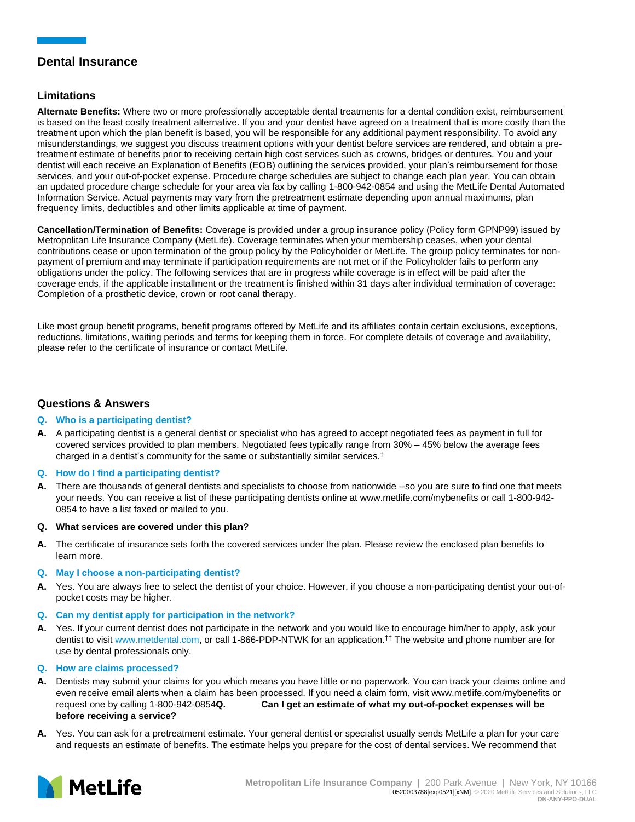## **Limitations**

**Alternate Benefits:** Where two or more professionally acceptable dental treatments for a dental condition exist, reimbursement is based on the least costly treatment alternative. If you and your dentist have agreed on a treatment that is more costly than the treatment upon which the plan benefit is based, you will be responsible for any additional payment responsibility. To avoid any misunderstandings, we suggest you discuss treatment options with your dentist before services are rendered, and obtain a pretreatment estimate of benefits prior to receiving certain high cost services such as crowns, bridges or dentures. You and your dentist will each receive an Explanation of Benefits (EOB) outlining the services provided, your plan's reimbursement for those services, and your out-of-pocket expense. Procedure charge schedules are subject to change each plan year. You can obtain an updated procedure charge schedule for your area via fax by calling 1-800-942-0854 and using the MetLife Dental Automated Information Service. Actual payments may vary from the pretreatment estimate depending upon annual maximums, plan frequency limits, deductibles and other limits applicable at time of payment.

**Cancellation/Termination of Benefits:** Coverage is provided under a group insurance policy (Policy form GPNP99) issued by Metropolitan Life Insurance Company (MetLife). Coverage terminates when your membership ceases, when your dental contributions cease or upon termination of the group policy by the Policyholder or MetLife. The group policy terminates for nonpayment of premium and may terminate if participation requirements are not met or if the Policyholder fails to perform any obligations under the policy. The following services that are in progress while coverage is in effect will be paid after the coverage ends, if the applicable installment or the treatment is finished within 31 days after individual termination of coverage: Completion of a prosthetic device, crown or root canal therapy.

Like most group benefit programs, benefit programs offered by MetLife and its affiliates contain certain exclusions, exceptions, reductions, limitations, waiting periods and terms for keeping them in force. For complete details of coverage and availability, please refer to the certificate of insurance or contact MetLife.

## **Questions & Answers**

### **Q. Who is a participating dentist?**

**A.** A participating dentist is a general dentist or specialist who has agreed to accept negotiated fees as payment in full for covered services provided to plan members. Negotiated fees typically range from 30% – 45% below the average fees charged in a dentist's community for the same or substantially similar services.†

### **Q. How do I find a participating dentist?**

- **A.** There are thousands of general dentists and specialists to choose from nationwide --so you are sure to find one that meets your needs. You can receive a list of these participating dentists online at [www.metlife.com/mybenefits](http://www.metlife.com/mybenefits) or call 1-800-942- 0854 to have a list faxed or mailed to you.
- **Q. What services are covered under this plan?**
- **A.** The certificate of insurance sets forth the covered services under the plan. Please review the enclosed plan benefits to learn more.

### **Q. May I choose a non-participating dentist?**

- **A.** Yes. You are always free to select the dentist of your choice. However, if you choose a non-participating dentist your out-ofpocket costs may be higher.
- **Q. Can my dentist apply for participation in the network?**
- **A.** Yes. If your current dentist does not participate in the network and you would like to encourage him/her to apply, ask your dentist to visit www.metdental.com, or call 1-866-PDP-NTWK for an application.†† The website and phone number are for use by dental professionals only.

### **Q. How are claims processed?**

- **A.** Dentists may submit your claims for you which means you have little or no paperwork. You can track your claims online and even receive email alerts when a claim has been processed. If you need a claim form, visit [www.metlife.com/mybenefits](http://www.metlife.com/mybenefits) or request one by calling 1-800-942-0854**Q. Can I get an estimate of what my out-of-pocket expenses will be before receiving a service?**
- **A.** Yes. You can ask for a pretreatment estimate. Your general dentist or specialist usually sends MetLife a plan for your care and requests an estimate of benefits. The estimate helps you prepare for the cost of dental services. We recommend that